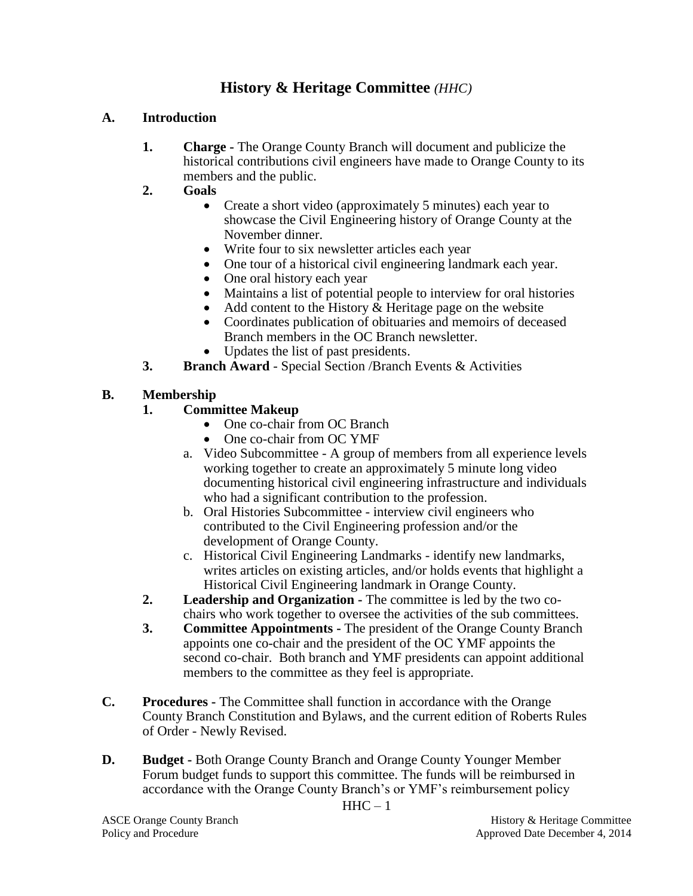## **History & Heritage Committee** *(HHC)*

## **A. Introduction**

- **1. Charge -** The Orange County Branch will document and publicize the historical contributions civil engineers have made to Orange County to its members and the public.
- **2. Goals**
	- Create a short video (approximately 5 minutes) each year to showcase the Civil Engineering history of Orange County at the November dinner.
	- Write four to six newsletter articles each year
	- One tour of a historical civil engineering landmark each year.
	- One oral history each year
	- Maintains a list of potential people to interview for oral histories
	- Add content to the History & Heritage page on the website
	- Coordinates publication of obituaries and memoirs of deceased Branch members in the OC Branch newsletter.
	- Updates the list of past presidents.
- **3. Branch Award** Special Section /Branch Events & Activities

## **B. Membership**

- **1. Committee Makeup**
	- One co-chair from OC Branch
	- One co-chair from OC YMF
	- a. Video Subcommittee A group of members from all experience levels working together to create an approximately 5 minute long video documenting historical civil engineering infrastructure and individuals who had a significant contribution to the profession.
	- b. Oral Histories Subcommittee interview civil engineers who contributed to the Civil Engineering profession and/or the development of Orange County.
	- c. Historical Civil Engineering Landmarks identify new landmarks, writes articles on existing articles, and/or holds events that highlight a Historical Civil Engineering landmark in Orange County.
- **2. Leadership and Organization -** The committee is led by the two cochairs who work together to oversee the activities of the sub committees.
- **3. Committee Appointments -** The president of the Orange County Branch appoints one co-chair and the president of the OC YMF appoints the second co-chair. Both branch and YMF presidents can appoint additional members to the committee as they feel is appropriate.
- **C. Procedures -** The Committee shall function in accordance with the Orange County Branch Constitution and Bylaws, and the current edition of Roberts Rules of Order - Newly Revised.
- **D. Budget -** Both Orange County Branch and Orange County Younger Member Forum budget funds to support this committee. The funds will be reimbursed in accordance with the Orange County Branch's or YMF's reimbursement policy